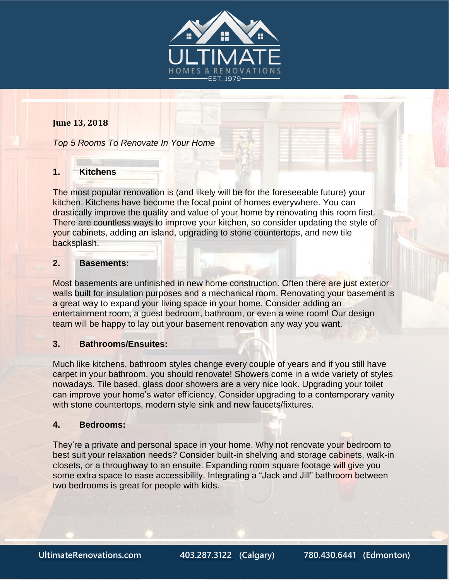

# **June 13, 2018**

*Top 5 Rooms To Renovate In Your Home*

# **1. Kitchens**

The most popular renovation is (and likely will be for the foreseeable future) your kitchen. Kitchens have become the focal point of homes everywhere. You can drastically improve the quality and value of your home by renovating this room first. There are countless ways to improve your kitchen, so consider updating the style of your cabinets, adding an island, upgrading to stone countertops, and new tile backsplash.

# **2. Basements:**

Most basements are unfinished in new home construction. Often there are just exterior walls built for insulation purposes and a mechanical room. Renovating your basement is a great way to expand your living space in your home. Consider adding an entertainment room, a guest bedroom, bathroom, or even a wine room! Our design team will be happy to lay out your basement renovation any way you want.

## **3. Bathrooms/Ensuites:**

Much like kitchens, bathroom styles change every couple of years and if you still have carpet in your bathroom, you should renovate! Showers come in a wide variety of styles nowadays. Tile based, glass door showers are a very nice look. Upgrading your toilet can improve your home's water efficiency. Consider upgrading to a contemporary vanity with stone countertops, modern style sink and new faucets/fixtures.

#### **4. Bedrooms:**

They're a private and personal space in your home. Why not renovate your bedroom to best suit your relaxation needs? Consider built-in shelving and storage cabinets, walk-in closets, or a throughway to an ensuite. Expanding room square footage will give you some extra space to ease accessibility. Integrating a "Jack and Jill" bathroom between two bedrooms is great for people with kids.